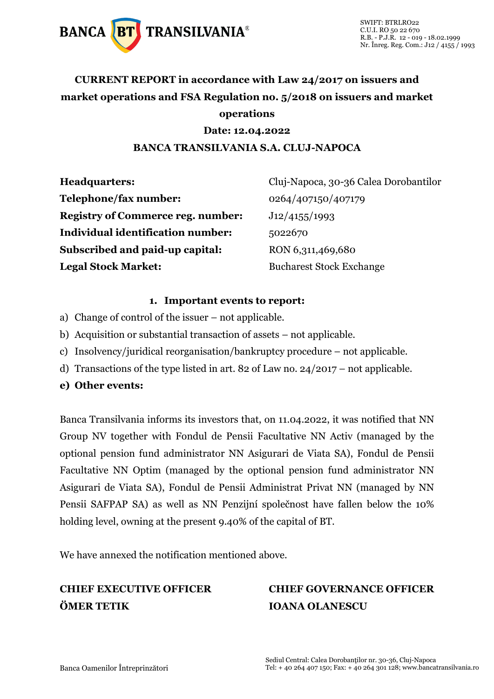

## **CURRENT REPORT in accordance with Law 24/2017 on issuers and market operations and FSA Regulation no. 5/2018 on issuers and market operations**

### **Date: 12.04.2022 BANCA TRANSILVANIA S.A. CLUJ-NAPOCA**

| <b>Headquarters:</b>                     | Cluj-Napoca, 30-36 Calea Dorobantilor |
|------------------------------------------|---------------------------------------|
| Telephone/fax number:                    | 0264/407150/407179                    |
| <b>Registry of Commerce reg. number:</b> | J12/4155/1993                         |
| <b>Individual identification number:</b> | 5022670                               |
| Subscribed and paid-up capital:          | RON 6,311,469,680                     |
| <b>Legal Stock Market:</b>               | <b>Bucharest Stock Exchange</b>       |

### **1. Important events to report:**

- a) Change of control of the issuer not applicable.
- b) Acquisition or substantial transaction of assets not applicable.
- c) Insolvency/juridical reorganisation/bankruptcy procedure not applicable.
- d) Transactions of the type listed in art. 82 of Law no. 24/2017 not applicable.
- **e) Other events:**

Banca Transilvania informs its investors that, on 11.04.2022, it was notified that NN Group NV together with Fondul de Pensii Facultative NN Activ (managed by the optional pension fund administrator NN Asigurari de Viata SA), Fondul de Pensii Facultative NN Optim (managed by the optional pension fund administrator NN Asigurari de Viata SA), Fondul de Pensii Administrat Privat NN (managed by NN Pensii SAFPAP SA) as well as NN Penzijní společnost have fallen below the 10% holding level, owning at the present 9.40% of the capital of BT.

We have annexed the notification mentioned above.

## **ÖMER TETIK IOANA OLANESCU**

# **CHIEF EXECUTIVE OFFICER CHIEF GOVERNANCE OFFICER**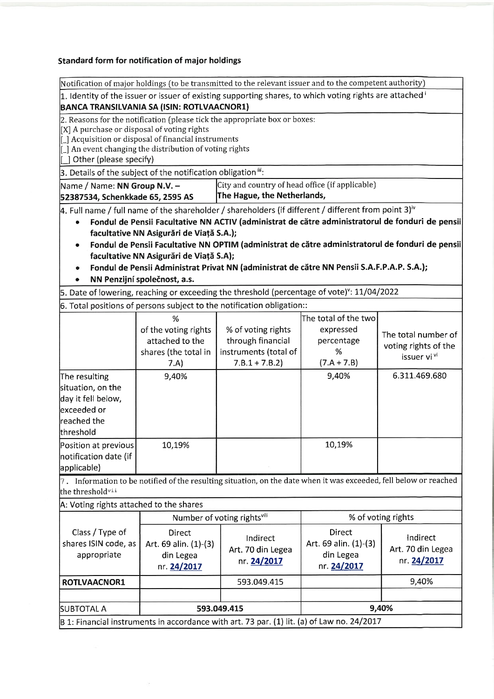#### Standard form for notification of major holdings

 $\lambda$ 

|                                                                                                                                                                                                                                                                                                                                                                                                                                                                                                                                               | Notification of major holdings (to be transmitted to the relevant issuer and to the competent authority)                                           |                                                                                                                   |                                                                       |                                                                        |  |
|-----------------------------------------------------------------------------------------------------------------------------------------------------------------------------------------------------------------------------------------------------------------------------------------------------------------------------------------------------------------------------------------------------------------------------------------------------------------------------------------------------------------------------------------------|----------------------------------------------------------------------------------------------------------------------------------------------------|-------------------------------------------------------------------------------------------------------------------|-----------------------------------------------------------------------|------------------------------------------------------------------------|--|
|                                                                                                                                                                                                                                                                                                                                                                                                                                                                                                                                               |                                                                                                                                                    | 1. Identity of the issuer or issuer of existing supporting shares, to which voting rights are attached i          |                                                                       |                                                                        |  |
|                                                                                                                                                                                                                                                                                                                                                                                                                                                                                                                                               | BANCA TRANSILVANIA SA (ISIN: ROTLVAACNOR1)                                                                                                         |                                                                                                                   |                                                                       |                                                                        |  |
| 2. Reasons for the notification (please tick the appropriate box or boxes:<br>[X] A purchase or disposal of voting rights<br>[] Acquisition or disposal of financial instruments<br>[_] An event changing the distribution of voting rights<br>[] Other (please specify)                                                                                                                                                                                                                                                                      |                                                                                                                                                    |                                                                                                                   |                                                                       |                                                                        |  |
|                                                                                                                                                                                                                                                                                                                                                                                                                                                                                                                                               | 3. Details of the subject of the notification obligation <sup>III</sup> :                                                                          |                                                                                                                   |                                                                       |                                                                        |  |
|                                                                                                                                                                                                                                                                                                                                                                                                                                                                                                                                               | City and country of head office (if applicable)<br>Name / Name: NN Group N.V. -<br>The Hague, the Netherlands,<br>52387534, Schenkkade 65, 2595 AS |                                                                                                                   |                                                                       |                                                                        |  |
| 4. Full name / full name of the shareholder / shareholders (if different / different from point 3) <sup>iv</sup><br>Fondul de Pensii Facultative NN ACTIV (administrat de către administratorul de fonduri de pensii<br>facultative NN Asigurări de Viață S.A.);<br>Fondul de Pensii Facultative NN OPTIM (administrat de către administratorul de fonduri de pensii<br>facultative NN Asigurări de Viață S.A);<br>Fondul de Pensii Administrat Privat NN (administrat de către NN Pensii S.A.F.P.A.P. S.A.);<br>NN Penzijní společnost, a.s. |                                                                                                                                                    |                                                                                                                   |                                                                       |                                                                        |  |
|                                                                                                                                                                                                                                                                                                                                                                                                                                                                                                                                               |                                                                                                                                                    | 5. Date of lowering, reaching or exceeding the threshold (percentage of vote) <sup>v</sup> : 11/04/2022           |                                                                       |                                                                        |  |
|                                                                                                                                                                                                                                                                                                                                                                                                                                                                                                                                               |                                                                                                                                                    | 6. Total positions of persons subject to the notification obligation::                                            |                                                                       |                                                                        |  |
|                                                                                                                                                                                                                                                                                                                                                                                                                                                                                                                                               | %<br>of the voting rights<br>attached to the<br>shares (the total in<br>7.A)                                                                       | % of voting rights<br>through financial<br>instruments (total of<br>$7.B.1 + 7.B.2$                               | The total of the two<br>expressed<br>percentage<br>%<br>$(7.A + 7.B)$ | The total number of<br>voting rights of the<br>issuer vi <sup>vi</sup> |  |
| The resulting<br>situation, on the<br>day it fell below,<br>lexceeded or<br>reached the<br>threshold                                                                                                                                                                                                                                                                                                                                                                                                                                          | 9,40%                                                                                                                                              |                                                                                                                   | 9,40%                                                                 | 6.311.469.680                                                          |  |
| Position at previous<br>notification date (if<br>applicable)                                                                                                                                                                                                                                                                                                                                                                                                                                                                                  | 10,19%                                                                                                                                             |                                                                                                                   | 10,19%                                                                |                                                                        |  |
| the threshold <sup>vii</sup>                                                                                                                                                                                                                                                                                                                                                                                                                                                                                                                  |                                                                                                                                                    | 7. Information to be notified of the resulting situation, on the date when it was exceeded, fell below or reached |                                                                       |                                                                        |  |
| A: Voting rights attached to the shares                                                                                                                                                                                                                                                                                                                                                                                                                                                                                                       |                                                                                                                                                    |                                                                                                                   |                                                                       |                                                                        |  |
|                                                                                                                                                                                                                                                                                                                                                                                                                                                                                                                                               | Number of voting rightsvill                                                                                                                        |                                                                                                                   | % of voting rights                                                    |                                                                        |  |
| Class / Type of<br>shares ISIN code, as<br>appropriate                                                                                                                                                                                                                                                                                                                                                                                                                                                                                        | <b>Direct</b><br>Art. 69 alin. (1)-(3)<br>din Legea<br>nr. 24/2017                                                                                 | Indirect<br>Art. 70 din Legea<br>nr. 24/2017                                                                      | Direct<br>Art. 69 alin. (1)-(3)<br>din Legea<br>nr. 24/2017           | Indirect<br>Art. 70 din Legea<br>nr. 24/2017                           |  |
| ROTLVAACNOR1                                                                                                                                                                                                                                                                                                                                                                                                                                                                                                                                  |                                                                                                                                                    | 593.049.415                                                                                                       |                                                                       | 9,40%                                                                  |  |
|                                                                                                                                                                                                                                                                                                                                                                                                                                                                                                                                               |                                                                                                                                                    |                                                                                                                   |                                                                       |                                                                        |  |
| SUBTOTAL A                                                                                                                                                                                                                                                                                                                                                                                                                                                                                                                                    | 9,40%<br>593.049.415                                                                                                                               |                                                                                                                   |                                                                       |                                                                        |  |
|                                                                                                                                                                                                                                                                                                                                                                                                                                                                                                                                               |                                                                                                                                                    | $ B $ 1: Financial instruments in accordance with art. 73 par. (1) lit. (a) of Law no. 24/2017                    |                                                                       |                                                                        |  |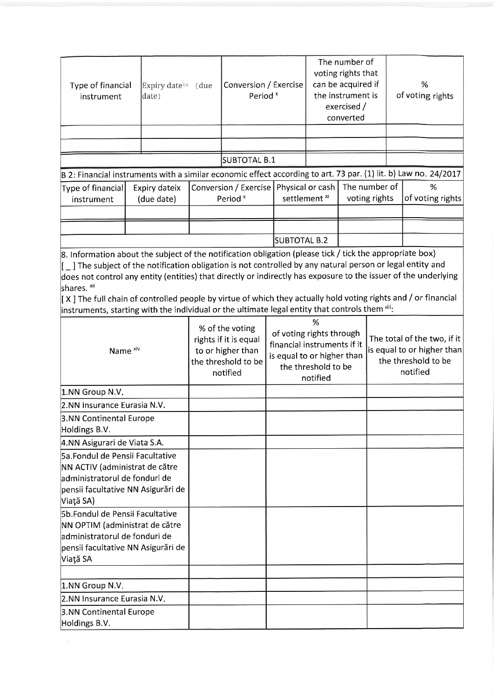| Type of financial<br>instrument                                                                                                                       |                                                                                                                                                                                                                                                                                                                                                                                                                                                                                                                                                                                        | Expiry date <sup>ix</sup> (due<br>date)                                                          |  | Conversion / Exercise<br>Period <sup>x</sup>                                                                                  |              |                                                                                              | The number of<br>voting rights that<br>can be acquired if<br>the instrument is<br>exercised /<br>converted |  |                  | %<br>of voting rights |
|-------------------------------------------------------------------------------------------------------------------------------------------------------|----------------------------------------------------------------------------------------------------------------------------------------------------------------------------------------------------------------------------------------------------------------------------------------------------------------------------------------------------------------------------------------------------------------------------------------------------------------------------------------------------------------------------------------------------------------------------------------|--------------------------------------------------------------------------------------------------|--|-------------------------------------------------------------------------------------------------------------------------------|--------------|----------------------------------------------------------------------------------------------|------------------------------------------------------------------------------------------------------------|--|------------------|-----------------------|
|                                                                                                                                                       |                                                                                                                                                                                                                                                                                                                                                                                                                                                                                                                                                                                        |                                                                                                  |  |                                                                                                                               |              |                                                                                              |                                                                                                            |  |                  |                       |
|                                                                                                                                                       |                                                                                                                                                                                                                                                                                                                                                                                                                                                                                                                                                                                        |                                                                                                  |  |                                                                                                                               |              |                                                                                              |                                                                                                            |  |                  |                       |
|                                                                                                                                                       |                                                                                                                                                                                                                                                                                                                                                                                                                                                                                                                                                                                        |                                                                                                  |  | SUBTOTAL B.1                                                                                                                  |              |                                                                                              |                                                                                                            |  |                  |                       |
| B 2: Financial instruments with a similar economic effect according to art. 73 par. (1) lit. b) Law no. 24/2017                                       |                                                                                                                                                                                                                                                                                                                                                                                                                                                                                                                                                                                        |                                                                                                  |  |                                                                                                                               |              |                                                                                              |                                                                                                            |  |                  |                       |
| Type of financial<br>instrument                                                                                                                       |                                                                                                                                                                                                                                                                                                                                                                                                                                                                                                                                                                                        | Expiry dateix<br>(due date)                                                                      |  | Conversion / Exercise   Physical or cash<br>Period <sup>x</sup>                                                               |              | settlement <sup>xi</sup>                                                                     | The number of<br>%<br>voting rights                                                                        |  | of voting rights |                       |
|                                                                                                                                                       |                                                                                                                                                                                                                                                                                                                                                                                                                                                                                                                                                                                        |                                                                                                  |  |                                                                                                                               |              |                                                                                              |                                                                                                            |  |                  |                       |
|                                                                                                                                                       |                                                                                                                                                                                                                                                                                                                                                                                                                                                                                                                                                                                        |                                                                                                  |  |                                                                                                                               |              |                                                                                              |                                                                                                            |  |                  |                       |
|                                                                                                                                                       |                                                                                                                                                                                                                                                                                                                                                                                                                                                                                                                                                                                        |                                                                                                  |  |                                                                                                                               | SUBTOTAL B.2 |                                                                                              |                                                                                                            |  |                  |                       |
| shares. <sup>xii</sup>                                                                                                                                | 8. Information about the subject of the notification obligation (please tick / tick the appropriate box)<br>$\left[-\right]$ The subject of the notification obligation is not controlled by any natural person or legal entity and<br>does not control any entity (entities) that directly or indirectly has exposure to the issuer of the underlying<br>[X] The full chain of controlled people by virtue of which they actually hold voting rights and / or financial<br>instruments, starting with the individual or the ultimate legal entity that controls them $\frac{1}{11}$ . |                                                                                                  |  |                                                                                                                               |              |                                                                                              |                                                                                                            |  |                  |                       |
| Name <sup>xiv</sup>                                                                                                                                   |                                                                                                                                                                                                                                                                                                                                                                                                                                                                                                                                                                                        | % of the voting<br>rights if it is equal<br>to or higher than<br>the threshold to be<br>notified |  | %<br>of voting rights through<br>financial instruments if it<br>is equal to or higher than<br>the threshold to be<br>notified |              | The total of the two, if it<br>is equal to or higher than<br>the threshold to be<br>notified |                                                                                                            |  |                  |                       |
| 1.NN Group N.V.                                                                                                                                       |                                                                                                                                                                                                                                                                                                                                                                                                                                                                                                                                                                                        |                                                                                                  |  |                                                                                                                               |              |                                                                                              |                                                                                                            |  |                  |                       |
| 2.NN Insurance Eurasia N.V.                                                                                                                           |                                                                                                                                                                                                                                                                                                                                                                                                                                                                                                                                                                                        |                                                                                                  |  |                                                                                                                               |              |                                                                                              |                                                                                                            |  |                  |                       |
| 3.NN Continental Europe<br>Holdings B.V.                                                                                                              |                                                                                                                                                                                                                                                                                                                                                                                                                                                                                                                                                                                        |                                                                                                  |  |                                                                                                                               |              |                                                                                              |                                                                                                            |  |                  |                       |
| 4.NN Asigurari de Viata S.A.                                                                                                                          |                                                                                                                                                                                                                                                                                                                                                                                                                                                                                                                                                                                        |                                                                                                  |  |                                                                                                                               |              |                                                                                              |                                                                                                            |  |                  |                       |
| 5a.Fondul de Pensii Facultative<br>NN ACTIV (administrat de către<br>administratorul de fonduri de<br>pensii facultative NN Asigurări de<br>Viață SA) |                                                                                                                                                                                                                                                                                                                                                                                                                                                                                                                                                                                        |                                                                                                  |  |                                                                                                                               |              |                                                                                              |                                                                                                            |  |                  |                       |
| 5b.Fondul de Pensii Facultative<br>NN OPTIM (administrat de către<br>administratorul de fonduri de<br>pensii facultative NN Asigurări de<br>Viață SA  |                                                                                                                                                                                                                                                                                                                                                                                                                                                                                                                                                                                        |                                                                                                  |  |                                                                                                                               |              |                                                                                              |                                                                                                            |  |                  |                       |
|                                                                                                                                                       |                                                                                                                                                                                                                                                                                                                                                                                                                                                                                                                                                                                        |                                                                                                  |  |                                                                                                                               |              |                                                                                              |                                                                                                            |  |                  |                       |
| 1.NN Group N.V.                                                                                                                                       |                                                                                                                                                                                                                                                                                                                                                                                                                                                                                                                                                                                        |                                                                                                  |  |                                                                                                                               |              |                                                                                              |                                                                                                            |  |                  |                       |
| 2.NN Insurance Eurasia N.V.                                                                                                                           |                                                                                                                                                                                                                                                                                                                                                                                                                                                                                                                                                                                        |                                                                                                  |  |                                                                                                                               |              |                                                                                              |                                                                                                            |  |                  |                       |
| 3.NN Continental Europe<br>Holdings B.V.                                                                                                              |                                                                                                                                                                                                                                                                                                                                                                                                                                                                                                                                                                                        |                                                                                                  |  |                                                                                                                               |              |                                                                                              |                                                                                                            |  |                  |                       |
|                                                                                                                                                       |                                                                                                                                                                                                                                                                                                                                                                                                                                                                                                                                                                                        |                                                                                                  |  |                                                                                                                               |              |                                                                                              |                                                                                                            |  |                  |                       |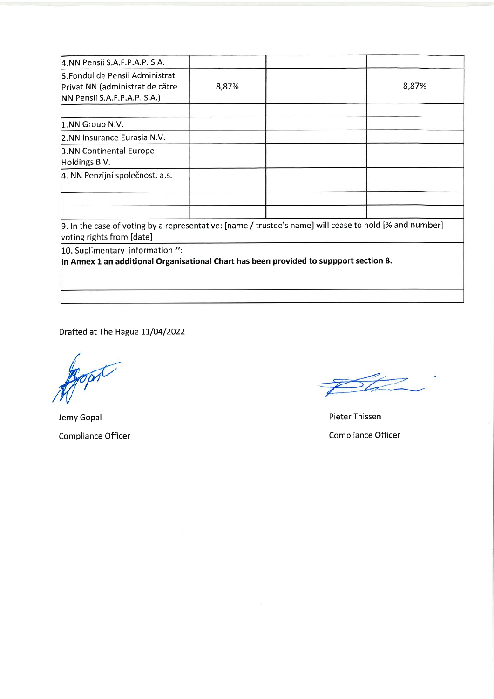| 4.NN Pensii S.A.F.P.A.P. S.A.                                                                                                         |       |       |
|---------------------------------------------------------------------------------------------------------------------------------------|-------|-------|
| 5. Fondul de Pensii Administrat<br>Privat NN (administrat de către<br>NN Pensii S.A.F.P.A.P. S.A.)                                    | 8,87% | 8,87% |
| 1.NN Group N.V.                                                                                                                       |       |       |
| 2.NN Insurance Eurasia N.V.                                                                                                           |       |       |
| 3.NN Continental Europe<br>Holdings B.V.                                                                                              |       |       |
| 4. NN Penzijní společnost, a.s.                                                                                                       |       |       |
|                                                                                                                                       |       |       |
| [9. In the case of voting by a representative: [name / trustee's name] will cease to hold [% and number]<br>voting rights from [date] |       |       |
| 10. Suplimentary information xv:<br>In Annex 1 an additional Organisational Chart has been provided to suppport section 8.            |       |       |
|                                                                                                                                       |       |       |

Drafted at The Hague 11/04/2022

pr

Jemy Gopal Compliance Officer

Pieter Thissen Compliance Officer